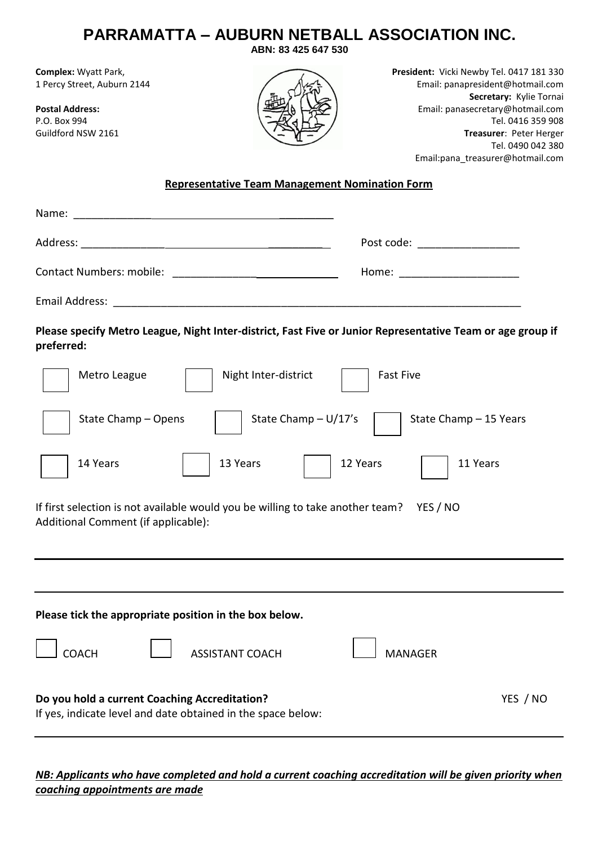| <b>PARRAMATTA – AUBURN NETBALL ASSOCIATION INC.</b><br>ABN: 83 425 647 530                                                                                                                                                                                                                                                                                                  |  |  |  |  |  |
|-----------------------------------------------------------------------------------------------------------------------------------------------------------------------------------------------------------------------------------------------------------------------------------------------------------------------------------------------------------------------------|--|--|--|--|--|
| President: Vicki Newby Tel. 0417 181 330<br>Complex: Wyatt Park,<br>1 Percy Street, Auburn 2144<br>Email: panapresident@hotmail.com<br>Secretary: Kylie Tornai<br><b>Postal Address:</b><br>Email: panasecretary@hotmail.com<br>P.O. Box 994<br>Tel. 0416 359 908<br>Guildford NSW 2161<br>Treasurer: Peter Herger<br>Tel. 0490 042 380<br>Email:pana_treasurer@hotmail.com |  |  |  |  |  |
| <b>Representative Team Management Nomination Form</b>                                                                                                                                                                                                                                                                                                                       |  |  |  |  |  |
|                                                                                                                                                                                                                                                                                                                                                                             |  |  |  |  |  |
| Post code: ____________________                                                                                                                                                                                                                                                                                                                                             |  |  |  |  |  |
| Home: _______________________                                                                                                                                                                                                                                                                                                                                               |  |  |  |  |  |
|                                                                                                                                                                                                                                                                                                                                                                             |  |  |  |  |  |
| Please specify Metro League, Night Inter-district, Fast Five or Junior Representative Team or age group if<br>preferred:                                                                                                                                                                                                                                                    |  |  |  |  |  |
| Night Inter-district<br><b>Fast Five</b><br>Metro League                                                                                                                                                                                                                                                                                                                    |  |  |  |  |  |
| State Champ $- U/17's$<br>State Champ - Opens<br>State Champ - 15 Years                                                                                                                                                                                                                                                                                                     |  |  |  |  |  |
| 12 Years<br>11 Years<br>14 Years<br>13 Years                                                                                                                                                                                                                                                                                                                                |  |  |  |  |  |
| If first selection is not available would you be willing to take another team?<br>YES / NO<br>Additional Comment (if applicable):                                                                                                                                                                                                                                           |  |  |  |  |  |
|                                                                                                                                                                                                                                                                                                                                                                             |  |  |  |  |  |
| Please tick the appropriate position in the box below.                                                                                                                                                                                                                                                                                                                      |  |  |  |  |  |
| <b>COACH</b><br><b>ASSISTANT COACH</b><br><b>MANAGER</b>                                                                                                                                                                                                                                                                                                                    |  |  |  |  |  |
| Do you hold a current Coaching Accreditation?<br>YES / NO<br>If yes, indicate level and date obtained in the space below:                                                                                                                                                                                                                                                   |  |  |  |  |  |

*NB: Applicants who have completed and hold a current coaching accreditation will be given priority when coaching appointments are made*